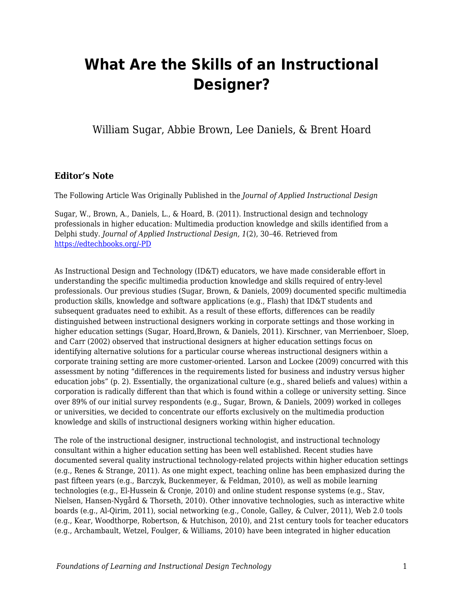# **What Are the Skills of an Instructional Designer?**

William Sugar, Abbie Brown, Lee Daniels, & Brent Hoard

#### **Editor's Note**

The Following Article Was Originally Published in the *Journal of Applied Instructional Design*

Sugar, W., Brown, A., Daniels, L., & Hoard, B. (2011). Instructional design and technology professionals in higher education: Multimedia production knowledge and skills identified from a Delphi study. *Journal of Applied Instructional Design, 1*(2), 30–46. Retrieved from [https://edtechbooks.org/-PD](https://www.jaid.pub/vol-1-issue-2-2011)

As Instructional Design and Technology (ID&T) educators, we have made considerable effort in understanding the specific multimedia production knowledge and skills required of entry-level professionals. Our previous studies (Sugar, Brown, & Daniels, 2009) documented specific multimedia production skills, knowledge and software applications (e.g., Flash) that ID&T students and subsequent graduates need to exhibit. As a result of these efforts, differences can be readily distinguished between instructional designers working in corporate settings and those working in higher education settings (Sugar, Hoard,Brown, & Daniels, 2011). Kirschner, van Merrienboer, Sloep, and Carr (2002) observed that instructional designers at higher education settings focus on identifying alternative solutions for a particular course whereas instructional designers within a corporate training setting are more customer-oriented. Larson and Lockee (2009) concurred with this assessment by noting "differences in the requirements listed for business and industry versus higher education jobs" (p. 2). Essentially, the organizational culture (e.g., shared beliefs and values) within a corporation is radically different than that which is found within a college or university setting. Since over 89% of our initial survey respondents (e.g., Sugar, Brown, & Daniels, 2009) worked in colleges or universities, we decided to concentrate our efforts exclusively on the multimedia production knowledge and skills of instructional designers working within higher education.

The role of the instructional designer, instructional technologist, and instructional technology consultant within a higher education setting has been well established. Recent studies have documented several quality instructional technology-related projects within higher education settings (e.g., Renes & Strange, 2011). As one might expect, teaching online has been emphasized during the past fifteen years (e.g., Barczyk, Buckenmeyer, & Feldman, 2010), as well as mobile learning technologies (e.g., El-Hussein & Cronje, 2010) and online student response systems (e.g., Stav, Nielsen, Hansen-Nygård & Thorseth, 2010). Other innovative technologies, such as interactive white boards (e.g., Al-Qirim, 2011), social networking (e.g., Conole, Galley, & Culver, 2011), Web 2.0 tools (e.g., Kear, Woodthorpe, Robertson, & Hutchison, 2010), and 21st century tools for teacher educators (e.g., Archambault, Wetzel, Foulger, & Williams, 2010) have been integrated in higher education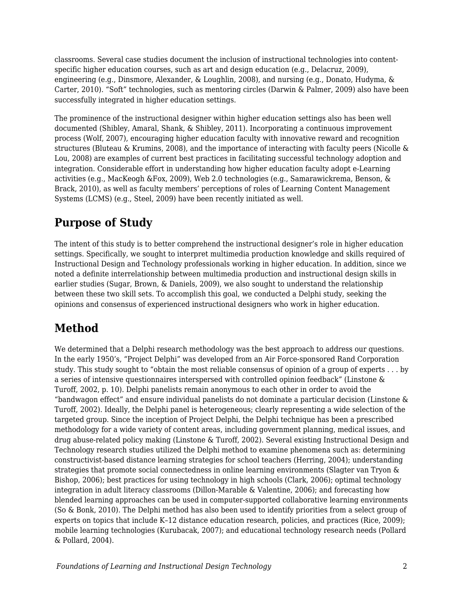classrooms. Several case studies document the inclusion of instructional technologies into contentspecific higher education courses, such as art and design education (e.g., Delacruz, 2009), engineering (e.g., Dinsmore, Alexander, & Loughlin, 2008), and nursing (e.g., Donato, Hudyma, & Carter, 2010). "Soft" technologies, such as mentoring circles (Darwin & Palmer, 2009) also have been successfully integrated in higher education settings.

The prominence of the instructional designer within higher education settings also has been well documented (Shibley, Amaral, Shank, & Shibley, 2011). Incorporating a continuous improvement process (Wolf, 2007), encouraging higher education faculty with innovative reward and recognition structures (Bluteau & Krumins, 2008), and the importance of interacting with faculty peers (Nicolle & Lou, 2008) are examples of current best practices in facilitating successful technology adoption and integration. Considerable effort in understanding how higher education faculty adopt e-Learning activities (e.g., MacKeogh &Fox, 2009), Web 2.0 technologies (e.g., Samarawickrema, Benson, & Brack, 2010), as well as faculty members' perceptions of roles of Learning Content Management Systems (LCMS) (e.g., Steel, 2009) have been recently initiated as well.

# **Purpose of Study**

The intent of this study is to better comprehend the instructional designer's role in higher education settings. Specifically, we sought to interpret multimedia production knowledge and skills required of Instructional Design and Technology professionals working in higher education. In addition, since we noted a definite interrelationship between multimedia production and instructional design skills in earlier studies (Sugar, Brown, & Daniels, 2009), we also sought to understand the relationship between these two skill sets. To accomplish this goal, we conducted a Delphi study, seeking the opinions and consensus of experienced instructional designers who work in higher education.

# **Method**

We determined that a Delphi research methodology was the best approach to address our questions. In the early 1950's, "Project Delphi" was developed from an Air Force-sponsored Rand Corporation study. This study sought to "obtain the most reliable consensus of opinion of a group of experts . . . by a series of intensive questionnaires interspersed with controlled opinion feedback" (Linstone & Turoff, 2002, p. 10). Delphi panelists remain anonymous to each other in order to avoid the "bandwagon effect" and ensure individual panelists do not dominate a particular decision (Linstone & Turoff, 2002). Ideally, the Delphi panel is heterogeneous; clearly representing a wide selection of the targeted group. Since the inception of Project Delphi, the Delphi technique has been a prescribed methodology for a wide variety of content areas, including government planning, medical issues, and drug abuse-related policy making (Linstone & Turoff, 2002). Several existing Instructional Design and Technology research studies utilized the Delphi method to examine phenomena such as: determining constructivist-based distance learning strategies for school teachers (Herring, 2004); understanding strategies that promote social connectedness in online learning environments (Slagter van Tryon & Bishop, 2006); best practices for using technology in high schools (Clark, 2006); optimal technology integration in adult literacy classrooms (Dillon-Marable & Valentine, 2006); and forecasting how blended learning approaches can be used in computer-supported collaborative learning environments (So & Bonk, 2010). The Delphi method has also been used to identify priorities from a select group of experts on topics that include K–12 distance education research, policies, and practices (Rice, 2009); mobile learning technologies (Kurubacak, 2007); and educational technology research needs (Pollard & Pollard, 2004).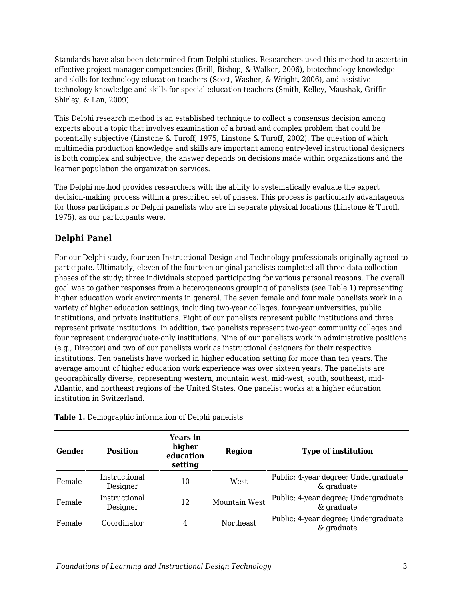Standards have also been determined from Delphi studies. Researchers used this method to ascertain effective project manager competencies (Brill, Bishop, & Walker, 2006), biotechnology knowledge and skills for technology education teachers (Scott, Washer, & Wright, 2006), and assistive technology knowledge and skills for special education teachers (Smith, Kelley, Maushak, Griffin-Shirley, & Lan, 2009).

This Delphi research method is an established technique to collect a consensus decision among experts about a topic that involves examination of a broad and complex problem that could be potentially subjective (Linstone & Turoff, 1975; Linstone & Turoff, 2002). The question of which multimedia production knowledge and skills are important among entry-level instructional designers is both complex and subjective; the answer depends on decisions made within organizations and the learner population the organization services.

The Delphi method provides researchers with the ability to systematically evaluate the expert decision-making process within a prescribed set of phases. This process is particularly advantageous for those participants or Delphi panelists who are in separate physical locations (Linstone & Turoff, 1975), as our participants were.

### **Delphi Panel**

For our Delphi study, fourteen Instructional Design and Technology professionals originally agreed to participate. Ultimately, eleven of the fourteen original panelists completed all three data collection phases of the study; three individuals stopped participating for various personal reasons. The overall goal was to gather responses from a heterogeneous grouping of panelists (see Table 1) representing higher education work environments in general. The seven female and four male panelists work in a variety of higher education settings, including two-year colleges, four-year universities, public institutions, and private institutions. Eight of our panelists represent public institutions and three represent private institutions. In addition, two panelists represent two-year community colleges and four represent undergraduate-only institutions. Nine of our panelists work in administrative positions (e.g., Director) and two of our panelists work as instructional designers for their respective institutions. Ten panelists have worked in higher education setting for more than ten years. The average amount of higher education work experience was over sixteen years. The panelists are geographically diverse, representing western, mountain west, mid-west, south, southeast, mid-Atlantic, and northeast regions of the United States. One panelist works at a higher education institution in Switzerland.

| Gender | <b>Position</b>           | Years in<br>higher<br>education<br>setting | <b>Region</b> | <b>Type of institution</b>                         |
|--------|---------------------------|--------------------------------------------|---------------|----------------------------------------------------|
| Female | Instructional<br>Designer | 10                                         | West          | Public; 4-year degree; Undergraduate<br>& graduate |
| Female | Instructional<br>Designer | 12                                         | Mountain West | Public; 4-year degree; Undergraduate<br>& graduate |
| Female | Coordinator               | 4                                          | Northeast     | Public; 4-year degree; Undergraduate<br>& graduate |

**Table 1.** Demographic information of Delphi panelists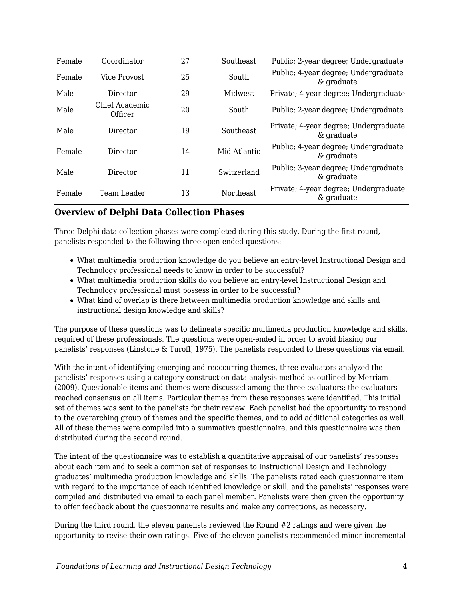| Female | Coordinator               | 27 | Southeast    | Public; 2-year degree; Undergraduate                |
|--------|---------------------------|----|--------------|-----------------------------------------------------|
| Female | Vice Provost              | 25 | South        | Public; 4-year degree; Undergraduate<br>& graduate  |
| Male   | Director                  | 29 | Midwest      | Private; 4-year degree; Undergraduate               |
| Male   | Chief Academic<br>Officer | 20 | South        | Public; 2-year degree; Undergraduate                |
| Male   | Director                  | 19 | Southeast    | Private; 4-year degree; Undergraduate<br>& graduate |
| Female | Director                  | 14 | Mid-Atlantic | Public; 4-year degree; Undergraduate<br>& graduate  |
| Male   | Director                  | 11 | Switzerland  | Public; 3-year degree; Undergraduate<br>& graduate  |
| Female | Team Leader               | 13 | Northeast    | Private; 4-year degree; Undergraduate<br>& graduate |

#### **Overview of Delphi Data Collection Phases**

Three Delphi data collection phases were completed during this study. During the first round, panelists responded to the following three open-ended questions:

- What multimedia production knowledge do you believe an entry-level Instructional Design and Technology professional needs to know in order to be successful?
- What multimedia production skills do you believe an entry-level Instructional Design and Technology professional must possess in order to be successful?
- What kind of overlap is there between multimedia production knowledge and skills and instructional design knowledge and skills?

The purpose of these questions was to delineate specific multimedia production knowledge and skills, required of these professionals. The questions were open-ended in order to avoid biasing our panelists' responses (Linstone & Turoff, 1975). The panelists responded to these questions via email.

With the intent of identifying emerging and reoccurring themes, three evaluators analyzed the panelists' responses using a category construction data analysis method as outlined by Merriam (2009). Questionable items and themes were discussed among the three evaluators; the evaluators reached consensus on all items. Particular themes from these responses were identified. This initial set of themes was sent to the panelists for their review. Each panelist had the opportunity to respond to the overarching group of themes and the specific themes, and to add additional categories as well. All of these themes were compiled into a summative questionnaire, and this questionnaire was then distributed during the second round.

The intent of the questionnaire was to establish a quantitative appraisal of our panelists' responses about each item and to seek a common set of responses to Instructional Design and Technology graduates' multimedia production knowledge and skills. The panelists rated each questionnaire item with regard to the importance of each identified knowledge or skill, and the panelists' responses were compiled and distributed via email to each panel member. Panelists were then given the opportunity to offer feedback about the questionnaire results and make any corrections, as necessary.

During the third round, the eleven panelists reviewed the Round #2 ratings and were given the opportunity to revise their own ratings. Five of the eleven panelists recommended minor incremental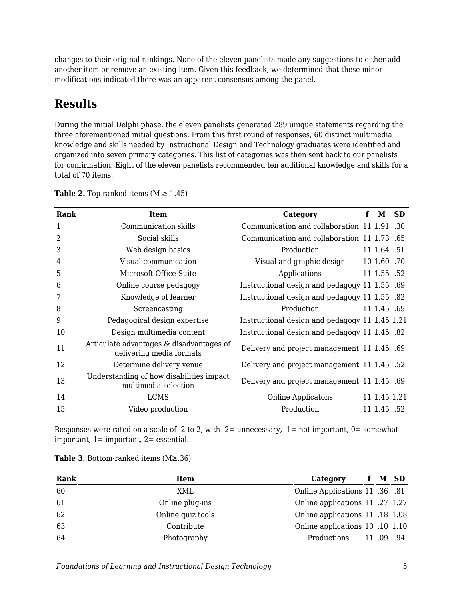changes to their original rankings. None of the eleven panelists made any suggestions to either add another item or remove an existing item. Given this feedback, we determined that these minor modifications indicated there was an apparent consensus among the panel.

# **Results**

During the initial Delphi phase, the eleven panelists generated 289 unique statements regarding the three aforementioned initial questions. From this first round of responses, 60 distinct multimedia knowledge and skills needed by Instructional Design and Technology graduates were identified and organized into seven primary categories. This list of categories was then sent back to our panelists for confirmation. Eight of the eleven panelists recommended ten additional knowledge and skills for a total of 70 items.

| Rank           | <b>Item</b>                                                          | Category                                              | f | М            | <b>SD</b> |
|----------------|----------------------------------------------------------------------|-------------------------------------------------------|---|--------------|-----------|
| 1              | Communication skills                                                 | Communication and collaboration 11 1.91 .30           |   |              |           |
| $\overline{2}$ | Social skills                                                        | Communication and collaboration 11 1.73 .65           |   |              |           |
| 3              | Web design basics                                                    | Production                                            |   | 11 1.64 .51  |           |
| 4              | Visual communication                                                 | Visual and graphic design                             |   | 10 1.60 .70  |           |
| 5              | Microsoft Office Suite                                               | Applications                                          |   | 11 1.55 .52  |           |
| 6              | Online course pedagogy                                               | Instructional design and pedagogy 11 1.55 .69         |   |              |           |
| 7              | Knowledge of learner                                                 | Instructional design and pedagogy 11 1.55 .82         |   |              |           |
| 8              | Screencasting                                                        | Production                                            |   | 11 1.45 .69  |           |
| 9              | Pedagogical design expertise                                         | Instructional design and pedagogy 11 1.45 1.21        |   |              |           |
| 10             | Design multimedia content                                            | 1.45 S2. Instructional design and pedagogy 11 1.45 S2 |   |              |           |
| 11             | Articulate advantages & disadvantages of<br>delivering media formats | Delivery and project management 11 1.45 .69           |   |              |           |
| 12             | Determine delivery venue                                             | Delivery and project management 11 1.45 .52           |   |              |           |
| 13             | Understanding of how disabilities impact<br>multimedia selection     | Delivery and project management 11 1.45 .69           |   |              |           |
| 14             | <b>LCMS</b>                                                          | Online Applicatons                                    |   | 11 1.45 1.21 |           |
| 15             | Video production                                                     | Production                                            |   | 11 1.45 .52  |           |

**Table 2.** Top-ranked items  $(M \ge 1.45)$ 

Responses were rated on a scale of -2 to 2, with  $-2$ = unnecessary,  $-1$ = not important, 0= somewhat important,  $1=$  important,  $2=$  essential.

| Rank | Item              | Category                        | $\mathbf{r}$ | M SD     |
|------|-------------------|---------------------------------|--------------|----------|
| 60   | XML               | 0.81 Online Applications 11 .36 |              |          |
| 61   | Online plug-ins   | Online applications 11 .27 1.27 |              |          |
| 62   | Online quiz tools | Online applications 11 .18 1.08 |              |          |
| 63   | Contribute        | Online applications 10 .10 1.10 |              |          |
| 64   | Photography       | Productions                     |              | 11.09.94 |

**Table 3.** Bottom-ranked items (M≥.36)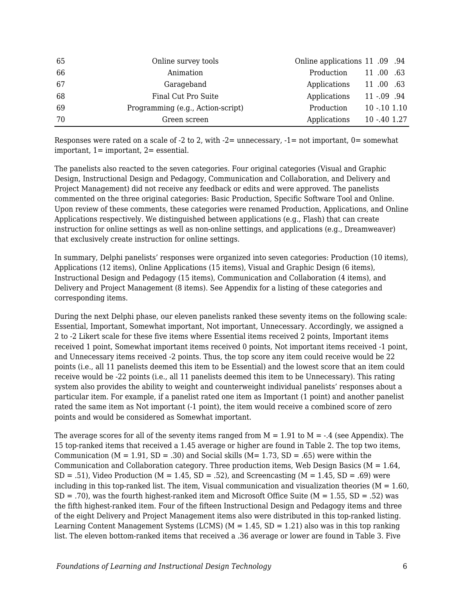| 65 | Online survey tools               | Online applications 11 .09 .94 |                |  |
|----|-----------------------------------|--------------------------------|----------------|--|
| 66 | Animation                         | Production                     | 11 .00 .63     |  |
| 67 | Garageband                        | Applications                   | 11 .00 .63     |  |
| 68 | Final Cut Pro Suite               | Applications                   | $11 - .09$ .94 |  |
| 69 | Programming (e.g., Action-script) | Production                     | $10 - 101110$  |  |
| 70 | Green screen                      | Applications                   | 10 -.40 1.27   |  |

Responses were rated on a scale of  $-2$  to 2, with  $-2$ = unnecessary,  $-1$ = not important, 0= somewhat important, 1= important, 2= essential.

The panelists also reacted to the seven categories. Four original categories (Visual and Graphic Design, Instructional Design and Pedagogy, Communication and Collaboration, and Delivery and Project Management) did not receive any feedback or edits and were approved. The panelists commented on the three original categories: Basic Production, Specific Software Tool and Online. Upon review of these comments, these categories were renamed Production, Applications, and Online Applications respectively. We distinguished between applications (e.g., Flash) that can create instruction for online settings as well as non-online settings, and applications (e.g., Dreamweaver) that exclusively create instruction for online settings.

In summary, Delphi panelists' responses were organized into seven categories: Production (10 items), Applications (12 items), Online Applications (15 items), Visual and Graphic Design (6 items), Instructional Design and Pedagogy (15 items), Communication and Collaboration (4 items), and Delivery and Project Management (8 items). See Appendix for a listing of these categories and corresponding items.

During the next Delphi phase, our eleven panelists ranked these seventy items on the following scale: Essential, Important, Somewhat important, Not important, Unnecessary. Accordingly, we assigned a 2 to -2 Likert scale for these five items where Essential items received 2 points, Important items received 1 point, Somewhat important items received 0 points, Not important items received -1 point, and Unnecessary items received -2 points. Thus, the top score any item could receive would be 22 points (i.e., all 11 panelists deemed this item to be Essential) and the lowest score that an item could receive would be -22 points (i.e., all 11 panelists deemed this item to be Unnecessary). This rating system also provides the ability to weight and counterweight individual panelists' responses about a particular item. For example, if a panelist rated one item as Important (1 point) and another panelist rated the same item as Not important (-1 point), the item would receive a combined score of zero points and would be considered as Somewhat important.

The average scores for all of the seventy items ranged from  $M = 1.91$  to  $M = -0.4$  (see Appendix). The 15 top-ranked items that received a 1.45 average or higher are found in Table 2. The top two items, Communication ( $M = 1.91$ ,  $SD = .30$ ) and Social skills ( $M = 1.73$ ,  $SD = .65$ ) were within the Communication and Collaboration category. Three production items, Web Design Basics ( $M = 1.64$ ,  $SD = .51$ ), Video Production (M = 1.45, SD = .52), and Screencasting (M = 1.45, SD = .69) were including in this top-ranked list. The item, Visual communication and visualization theories ( $M = 1.60$ ,  $SD = .70$ , was the fourth highest-ranked item and Microsoft Office Suite ( $M = 1.55$ ,  $SD = .52$ ) was the fifth highest-ranked item. Four of the fifteen Instructional Design and Pedagogy items and three of the eight Delivery and Project Management items also were distributed in this top-ranked listing. Learning Content Management Systems (LCMS) ( $M = 1.45$ , SD = 1.21) also was in this top ranking list. The eleven bottom-ranked items that received a .36 average or lower are found in Table 3. Five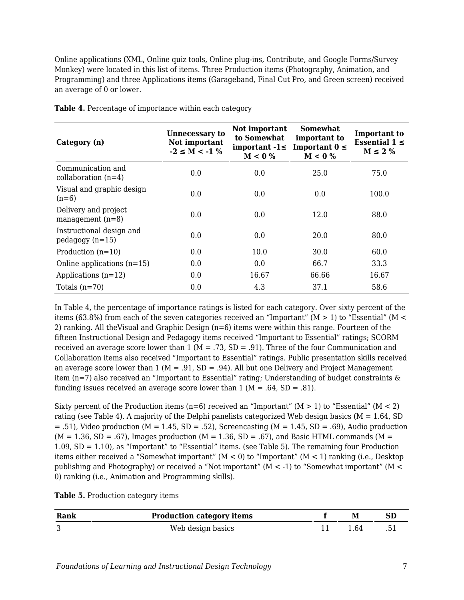Online applications (XML, Online quiz tools, Online plug-ins, Contribute, and Google Forms/Survey Monkey) were located in this list of items. Three Production items (Photography, Animation, and Programming) and three Applications items (Garageband, Final Cut Pro, and Green screen) received an average of 0 or lower.

| Category (n)                                 | <b>Unnecessary to</b><br>Not important<br>$-2 \le M < -1$ % | Not important<br>to Somewhat<br>important $-1 \leq$<br>$M < 0\%$ | <b>Somewhat</b><br>important to<br>Important $0 \leq$<br>$M < 0\%$ | Important to<br>Essential $1 \le$<br>$M \leq 2\%$ |
|----------------------------------------------|-------------------------------------------------------------|------------------------------------------------------------------|--------------------------------------------------------------------|---------------------------------------------------|
| Communication and<br>collaboration $(n=4)$   | 0.0                                                         | 0.0                                                              | 25.0                                                               | 75.0                                              |
| Visual and graphic design<br>$(n=6)$         | 0.0                                                         | 0.0                                                              | 0.0                                                                | 100.0                                             |
| Delivery and project<br>management $(n=8)$   | 0.0                                                         | 0.0                                                              | 12.0                                                               | 88.0                                              |
| Instructional design and<br>$pedagogy(n=15)$ | 0.0                                                         | 0.0                                                              | 20.0                                                               | 80.0                                              |
| Production $(n=10)$                          | 0.0                                                         | 10.0                                                             | 30.0                                                               | 60.0                                              |
| Online applications $(n=15)$                 | 0.0                                                         | 0.0                                                              | 66.7                                                               | 33.3                                              |
| Applications $(n=12)$                        | 0.0                                                         | 16.67                                                            | 66.66                                                              | 16.67                                             |
| Totals $(n=70)$                              | 0.0                                                         | 4.3                                                              | 37.1                                                               | 58.6                                              |

**Table 4.** Percentage of importance within each category

In Table 4, the percentage of importance ratings is listed for each category. Over sixty percent of the items (63.8%) from each of the seven categories received an "Important" ( $M > 1$ ) to "Essential" ( $M <$ 2) ranking. All theVisual and Graphic Design (n=6) items were within this range. Fourteen of the fifteen Instructional Design and Pedagogy items received "Important to Essential" ratings; SCORM received an average score lower than 1 ( $M = 0.73$ , SD = .91). Three of the four Communication and Collaboration items also received "Important to Essential" ratings. Public presentation skills received an average score lower than 1 ( $M = .91$ , SD = .94). All but one Delivery and Project Management item (n=7) also received an "Important to Essential" rating; Understanding of budget constraints & funding issues received an average score lower than  $1 (M = .64, SD = .81)$ .

Sixty percent of the Production items (n=6) received an "Important" ( $M > 1$ ) to "Essential" ( $M < 2$ ) rating (see Table 4). A majority of the Delphi panelists categorized Web design basics ( $M = 1.64$ , SD  $= .51$ ), Video production (M = 1.45, SD = .52), Screencasting (M = 1.45, SD = .69), Audio production  $(M = 1.36, SD = .67)$ , Images production  $(M = 1.36, SD = .67)$ , and Basic HTML commands  $(M = 1.36, SD = .67)$ 1.09, SD = 1.10), as "Important" to "Essential" items. (see Table 5). The remaining four Production items either received a "Somewhat important"  $(M < 0)$  to "Important"  $(M < 1)$  ranking (i.e., Desktop publishing and Photography) or received a "Not important" (M < -1) to "Somewhat important" (M < 0) ranking (i.e., Animation and Programming skills).

| Table 5. Production category items |  |  |
|------------------------------------|--|--|
|------------------------------------|--|--|

| Rank | <b>Production category items</b> | М   |  |
|------|----------------------------------|-----|--|
|      | Web design basics                | .64 |  |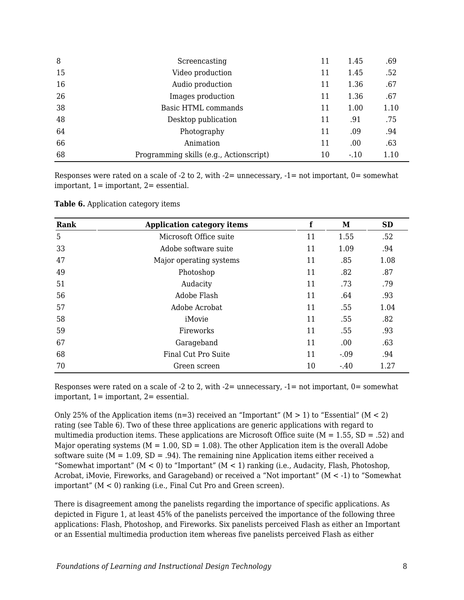| 8  | Screencasting                           | 11 | 1.45   | .69  |
|----|-----------------------------------------|----|--------|------|
| 15 | Video production                        | 11 | 1.45   | .52  |
| 16 | Audio production                        | 11 | 1.36   | .67  |
| 26 | Images production                       | 11 | 1.36   | .67  |
| 38 | <b>Basic HTML commands</b>              | 11 | 1.00   | 1.10 |
| 48 | Desktop publication                     | 11 | .91    | .75  |
| 64 | Photography                             | 11 | .09    | .94  |
| 66 | Animation                               | 11 | .00    | .63  |
| 68 | Programming skills (e.g., Actionscript) | 10 | $-.10$ | 1.10 |

Responses were rated on a scale of  $-2$  to 2, with  $-2$  = unnecessary,  $-1$  = not important,  $0$  = somewhat important, 1= important, 2= essential.

| Rank | <b>Application category items</b> | f  | M      | <b>SD</b> |
|------|-----------------------------------|----|--------|-----------|
| 5    | Microsoft Office suite            | 11 | 1.55   | .52       |
| 33   | Adobe software suite              | 11 | 1.09   | .94       |
| 47   | Major operating systems           | 11 | .85    | 1.08      |
| 49   | Photoshop                         | 11 | .82    | .87       |
| 51   | Audacity                          | 11 | .73    | .79       |
| 56   | Adobe Flash                       | 11 | .64    | .93       |
| 57   | Adobe Acrobat                     | 11 | .55    | 1.04      |
| 58   | iMovie                            | 11 | .55    | .82       |
| 59   | Fireworks                         | 11 | .55    | .93       |
| 67   | Garageband                        | 11 | .00    | .63       |
| 68   | Final Cut Pro Suite               | 11 | $-.09$ | .94       |
| 70   | Green screen                      | 10 | $-.40$ | 1.27      |

**Table 6.** Application category items

Responses were rated on a scale of  $-2$  to 2, with  $-2$ = unnecessary,  $-1$ = not important, 0= somewhat important, 1= important, 2= essential.

Only 25% of the Application items (n=3) received an "Important" ( $M > 1$ ) to "Essential" ( $M < 2$ ) rating (see Table 6). Two of these three applications are generic applications with regard to multimedia production items. These applications are Microsoft Office suite ( $M = 1.55$ , SD = .52) and Major operating systems ( $M = 1.00$ ,  $SD = 1.08$ ). The other Application item is the overall Adobe software suite ( $M = 1.09$ ,  $SD = .94$ ). The remaining nine Application items either received a "Somewhat important" ( $M < 0$ ) to "Important" ( $M < 1$ ) ranking (i.e., Audacity, Flash, Photoshop, Acrobat, iMovie, Fireworks, and Garageband) or received a "Not important" (M < -1) to "Somewhat important" (M < 0) ranking (i.e., Final Cut Pro and Green screen).

There is disagreement among the panelists regarding the importance of specific applications. As depicted in Figure 1, at least 45% of the panelists perceived the importance of the following three applications: Flash, Photoshop, and Fireworks. Six panelists perceived Flash as either an Important or an Essential multimedia production item whereas five panelists perceived Flash as either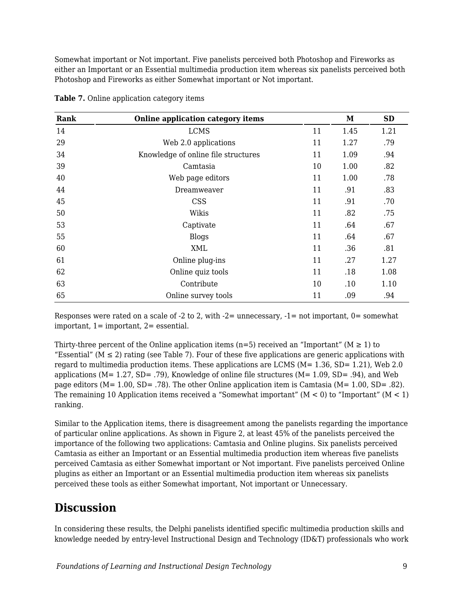Somewhat important or Not important. Five panelists perceived both Photoshop and Fireworks as either an Important or an Essential multimedia production item whereas six panelists perceived both Photoshop and Fireworks as either Somewhat important or Not important.

| Rank | <b>Online application category items</b> |    | M    | <b>SD</b> |
|------|------------------------------------------|----|------|-----------|
| 14   | <b>LCMS</b>                              | 11 | 1.45 | 1.21      |
| 29   | Web 2.0 applications                     | 11 | 1.27 | .79       |
| 34   | Knowledge of online file structures      | 11 | 1.09 | .94       |
| 39   | Camtasia                                 | 10 | 1.00 | .82       |
| 40   | Web page editors                         | 11 | 1.00 | .78       |
| 44   | Dreamweaver                              | 11 | .91  | .83       |
| 45   | <b>CSS</b>                               | 11 | .91  | .70       |
| 50   | Wikis                                    | 11 | .82  | .75       |
| 53   | Captivate                                | 11 | .64  | .67       |
| 55   | <b>Blogs</b>                             | 11 | .64  | .67       |
| 60   | <b>XML</b>                               | 11 | .36  | .81       |
| 61   | Online plug-ins                          | 11 | .27  | 1.27      |
| 62   | Online quiz tools                        | 11 | .18  | 1.08      |
| 63   | Contribute                               | 10 | .10  | 1.10      |
| 65   | Online survey tools                      | 11 | .09  | .94       |

**Table 7.** Online application category items

Responses were rated on a scale of  $-2$  to 2, with  $-2$ = unnecessary,  $-1$ = not important,  $0$ = somewhat important,  $1=$  important,  $2=$  essential.

Thirty-three percent of the Online application items (n=5) received an "Important" ( $M \ge 1$ ) to "Essential" ( $M \leq 2$ ) rating (see Table 7). Four of these five applications are generic applications with regard to multimedia production items. These applications are LCMS (M= 1.36, SD= 1.21), Web 2.0 applications (M= 1.27, SD= .79), Knowledge of online file structures (M= 1.09, SD= .94), and Web page editors (M= 1.00, SD= .78). The other Online application item is Camtasia (M= 1.00, SD= .82). The remaining 10 Application items received a "Somewhat important" ( $M < 0$ ) to "Important" ( $M < 1$ ) ranking.

Similar to the Application items, there is disagreement among the panelists regarding the importance of particular online applications. As shown in Figure 2, at least 45% of the panelists perceived the importance of the following two applications: Camtasia and Online plugins. Six panelists perceived Camtasia as either an Important or an Essential multimedia production item whereas five panelists perceived Camtasia as either Somewhat important or Not important. Five panelists perceived Online plugins as either an Important or an Essential multimedia production item whereas six panelists perceived these tools as either Somewhat important, Not important or Unnecessary.

### **Discussion**

In considering these results, the Delphi panelists identified specific multimedia production skills and knowledge needed by entry-level Instructional Design and Technology (ID&T) professionals who work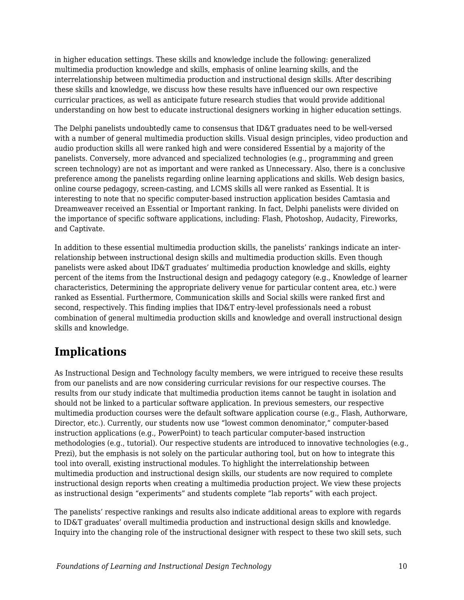in higher education settings. These skills and knowledge include the following: generalized multimedia production knowledge and skills, emphasis of online learning skills, and the interrelationship between multimedia production and instructional design skills. After describing these skills and knowledge, we discuss how these results have influenced our own respective curricular practices, as well as anticipate future research studies that would provide additional understanding on how best to educate instructional designers working in higher education settings.

The Delphi panelists undoubtedly came to consensus that ID&T graduates need to be well-versed with a number of general multimedia production skills. Visual design principles, video production and audio production skills all were ranked high and were considered Essential by a majority of the panelists. Conversely, more advanced and specialized technologies (e.g., programming and green screen technology) are not as important and were ranked as Unnecessary. Also, there is a conclusive preference among the panelists regarding online learning applications and skills. Web design basics, online course pedagogy, screen-casting, and LCMS skills all were ranked as Essential. It is interesting to note that no specific computer-based instruction application besides Camtasia and Dreamweaver received an Essential or Important ranking. In fact, Delphi panelists were divided on the importance of specific software applications, including: Flash, Photoshop, Audacity, Fireworks, and Captivate.

In addition to these essential multimedia production skills, the panelists' rankings indicate an interrelationship between instructional design skills and multimedia production skills. Even though panelists were asked about ID&T graduates' multimedia production knowledge and skills, eighty percent of the items from the Instructional design and pedagogy category (e.g., Knowledge of learner characteristics, Determining the appropriate delivery venue for particular content area, etc.) were ranked as Essential. Furthermore, Communication skills and Social skills were ranked first and second, respectively. This finding implies that ID&T entry-level professionals need a robust combination of general multimedia production skills and knowledge and overall instructional design skills and knowledge.

### **Implications**

As Instructional Design and Technology faculty members, we were intrigued to receive these results from our panelists and are now considering curricular revisions for our respective courses. The results from our study indicate that multimedia production items cannot be taught in isolation and should not be linked to a particular software application. In previous semesters, our respective multimedia production courses were the default software application course (e.g., Flash, Authorware, Director, etc.). Currently, our students now use "lowest common denominator," computer-based instruction applications (e.g., PowerPoint) to teach particular computer-based instruction methodologies (e.g., tutorial). Our respective students are introduced to innovative technologies (e.g., Prezi), but the emphasis is not solely on the particular authoring tool, but on how to integrate this tool into overall, existing instructional modules. To highlight the interrelationship between multimedia production and instructional design skills, our students are now required to complete instructional design reports when creating a multimedia production project. We view these projects as instructional design "experiments" and students complete "lab reports" with each project.

The panelists' respective rankings and results also indicate additional areas to explore with regards to ID&T graduates' overall multimedia production and instructional design skills and knowledge. Inquiry into the changing role of the instructional designer with respect to these two skill sets, such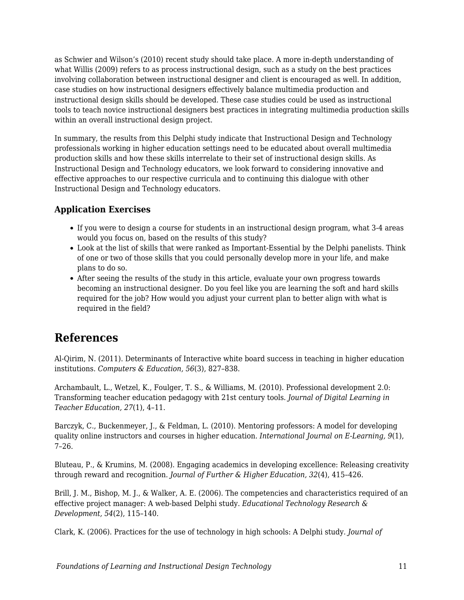as Schwier and Wilson's (2010) recent study should take place. A more in-depth understanding of what Willis (2009) refers to as process instructional design, such as a study on the best practices involving collaboration between instructional designer and client is encouraged as well. In addition, case studies on how instructional designers effectively balance multimedia production and instructional design skills should be developed. These case studies could be used as instructional tools to teach novice instructional designers best practices in integrating multimedia production skills within an overall instructional design project.

In summary, the results from this Delphi study indicate that Instructional Design and Technology professionals working in higher education settings need to be educated about overall multimedia production skills and how these skills interrelate to their set of instructional design skills. As Instructional Design and Technology educators, we look forward to considering innovative and effective approaches to our respective curricula and to continuing this dialogue with other Instructional Design and Technology educators.

### **Application Exercises**

- If you were to design a course for students in an instructional design program, what 3-4 areas would you focus on, based on the results of this study?
- Look at the list of skills that were ranked as Important-Essential by the Delphi panelists. Think of one or two of those skills that you could personally develop more in your life, and make plans to do so.
- After seeing the results of the study in this article, evaluate your own progress towards becoming an instructional designer. Do you feel like you are learning the soft and hard skills required for the job? How would you adjust your current plan to better align with what is required in the field?

### **References**

Al-Qirim, N. (2011). Determinants of Interactive white board success in teaching in higher education institutions. *Computers & Education, 56*(3), 827–838.

Archambault, L., Wetzel, K., Foulger, T. S., & Williams, M. (2010). Professional development 2.0: Transforming teacher education pedagogy with 21st century tools. *Journal of Digital Learning in Teacher Education, 27*(1), 4–11.

Barczyk, C., Buckenmeyer, J., & Feldman, L. (2010). Mentoring professors: A model for developing quality online instructors and courses in higher education. *International Journal on E-Learning, 9*(1), 7–26.

Bluteau, P., & Krumins, M. (2008). Engaging academics in developing excellence: Releasing creativity through reward and recognition. *Journal of Further & Higher Education, 32*(4), 415–426.

Brill, J. M., Bishop, M. J., & Walker, A. E. (2006). The competencies and characteristics required of an effective project manager: A web-based Delphi study. *Educational Technology Research & Development, 54*(2), 115–140.

Clark, K. (2006). Practices for the use of technology in high schools: A Delphi study. *Journal of*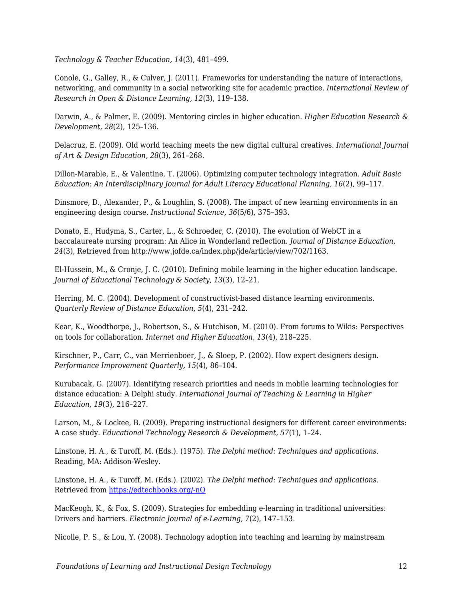*Technology & Teacher Education, 14*(3), 481–499.

Conole, G., Galley, R., & Culver, J. (2011). Frameworks for understanding the nature of interactions, networking, and community in a social networking site for academic practice. *International Review of Research in Open & Distance Learning, 12*(3), 119–138.

Darwin, A., & Palmer, E. (2009). Mentoring circles in higher education. *Higher Education Research & Development, 28*(2), 125–136.

Delacruz, E. (2009). Old world teaching meets the new digital cultural creatives. *International Journal of Art & Design Education, 28*(3), 261–268.

Dillon-Marable, E., & Valentine, T. (2006). Optimizing computer technology integration. *Adult Basic Education: An Interdisciplinary Journal for Adult Literacy Educational Planning, 16*(2), 99–117.

Dinsmore, D., Alexander, P., & Loughlin, S. (2008). The impact of new learning environments in an engineering design course. *Instructional Science, 36*(5/6), 375–393.

Donato, E., Hudyma, S., Carter, L., & Schroeder, C. (2010). The evolution of WebCT in a baccalaureate nursing program: An Alice in Wonderland reflection. *Journal of Distance Education, 24*(3), Retrieved from http://www.jofde.ca/index.php/jde/article/view/702/1163.

El-Hussein, M., & Cronje, J. C. (2010). Defining mobile learning in the higher education landscape. *Journal of Educational Technology & Society, 13*(3), 12–21.

Herring, M. C. (2004). Development of constructivist-based distance learning environments. *Quarterly Review of Distance Education, 5*(4), 231–242.

Kear, K., Woodthorpe, J., Robertson, S., & Hutchison, M. (2010). From forums to Wikis: Perspectives on tools for collaboration. *Internet and Higher Education, 13*(4), 218–225.

Kirschner, P., Carr, C., van Merrienboer, J., & Sloep, P. (2002). How expert designers design. *Performance Improvement Quarterly, 15*(4), 86–104.

Kurubacak, G. (2007). Identifying research priorities and needs in mobile learning technologies for distance education: A Delphi study. *International Journal of Teaching & Learning in Higher Education, 19*(3), 216–227.

Larson, M., & Lockee, B. (2009). Preparing instructional designers for different career environments: A case study. *Educational Technology Research & Development, 57*(1), 1–24.

Linstone, H. A., & Turoff, M. (Eds.). (1975). *The Delphi method: Techniques and applications.* Reading, MA: Addison-Wesley.

Linstone, H. A., & Turoff, M. (Eds.). (2002). *The Delphi method: Techniques and applications.* Retrieved from [https://edtechbooks.org/-nQ](http://is.njit.edu/pubs/delphibook/delphibook.pdf)

MacKeogh, K., & Fox, S. (2009). Strategies for embedding e-learning in traditional universities: Drivers and barriers. *Electronic Journal of e-Learning, 7*(2), 147–153.

Nicolle, P. S., & Lou, Y. (2008). Technology adoption into teaching and learning by mainstream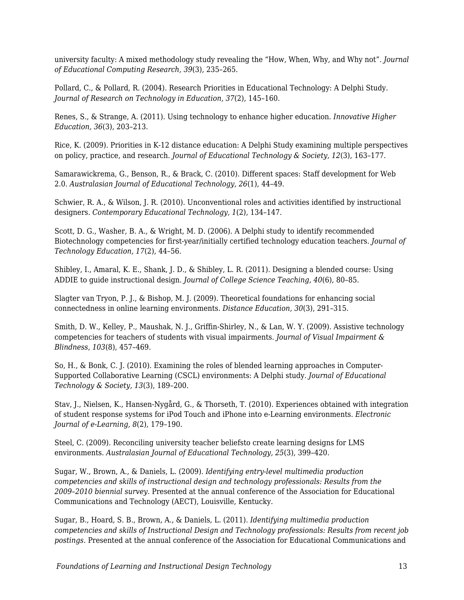university faculty: A mixed methodology study revealing the "How, When, Why, and Why not". *Journal of Educational Computing Research, 39*(3), 235–265.

Pollard, C., & Pollard, R. (2004). Research Priorities in Educational Technology: A Delphi Study. *Journal of Research on Technology in Education, 37*(2), 145–160.

Renes, S., & Strange, A. (2011). Using technology to enhance higher education. *Innovative Higher Education, 36*(3), 203–213.

Rice, K. (2009). Priorities in K-12 distance education: A Delphi Study examining multiple perspectives on policy, practice, and research. *Journal of Educational Technology & Society, 12*(3), 163–177.

Samarawickrema, G., Benson, R., & Brack, C. (2010). Different spaces: Staff development for Web 2.0. *Australasian Journal of Educational Technology, 26*(1), 44–49.

Schwier, R. A., & Wilson, J. R. (2010). Unconventional roles and activities identified by instructional designers. *Contemporary Educational Technology, 1*(2), 134–147.

Scott, D. G., Washer, B. A., & Wright, M. D. (2006). A Delphi study to identify recommended Biotechnology competencies for first-year/initially certified technology education teachers. *Journal of Technology Education, 17*(2), 44–56.

Shibley, I., Amaral, K. E., Shank, J. D., & Shibley, L. R. (2011). Designing a blended course: Using ADDIE to guide instructional design. *Journal of College Science Teaching, 40*(6), 80–85.

Slagter van Tryon, P. J., & Bishop, M. J. (2009). Theoretical foundations for enhancing social connectedness in online learning environments. *Distance Education, 30*(3), 291–315.

Smith, D. W., Kelley, P., Maushak, N. J., Griffin-Shirley, N., & Lan, W. Y. (2009). Assistive technology competencies for teachers of students with visual impairments. *Journal of Visual Impairment & Blindness, 103*(8), 457–469.

So, H., & Bonk, C. J. (2010). Examining the roles of blended learning approaches in Computer-Supported Collaborative Learning (CSCL) environments: A Delphi study. *Journal of Educational Technology & Society, 13*(3), 189–200.

Stav, J., Nielsen, K., Hansen-Nygård, G., & Thorseth, T. (2010). Experiences obtained with integration of student response systems for iPod Touch and iPhone into e-Learning environments. *Electronic Journal of e-Learning, 8*(2), 179–190.

Steel, C. (2009). Reconciling university teacher beliefsto create learning designs for LMS environments. *Australasian Journal of Educational Technology, 25*(3), 399–420.

Sugar, W., Brown, A., & Daniels, L. (2009). *Identifying entry-level multimedia production competencies and skills of instructional design and technology professionals: Results from the 2009–2010 biennial survey.* Presented at the annual conference of the Association for Educational Communications and Technology (AECT), Louisville, Kentucky.

Sugar, B., Hoard, S. B., Brown, A., & Daniels, L. (2011). *Identifying multimedia production competencies and skills of Instructional Design and Technology professionals: Results from recent job postings.* Presented at the annual conference of the Association for Educational Communications and